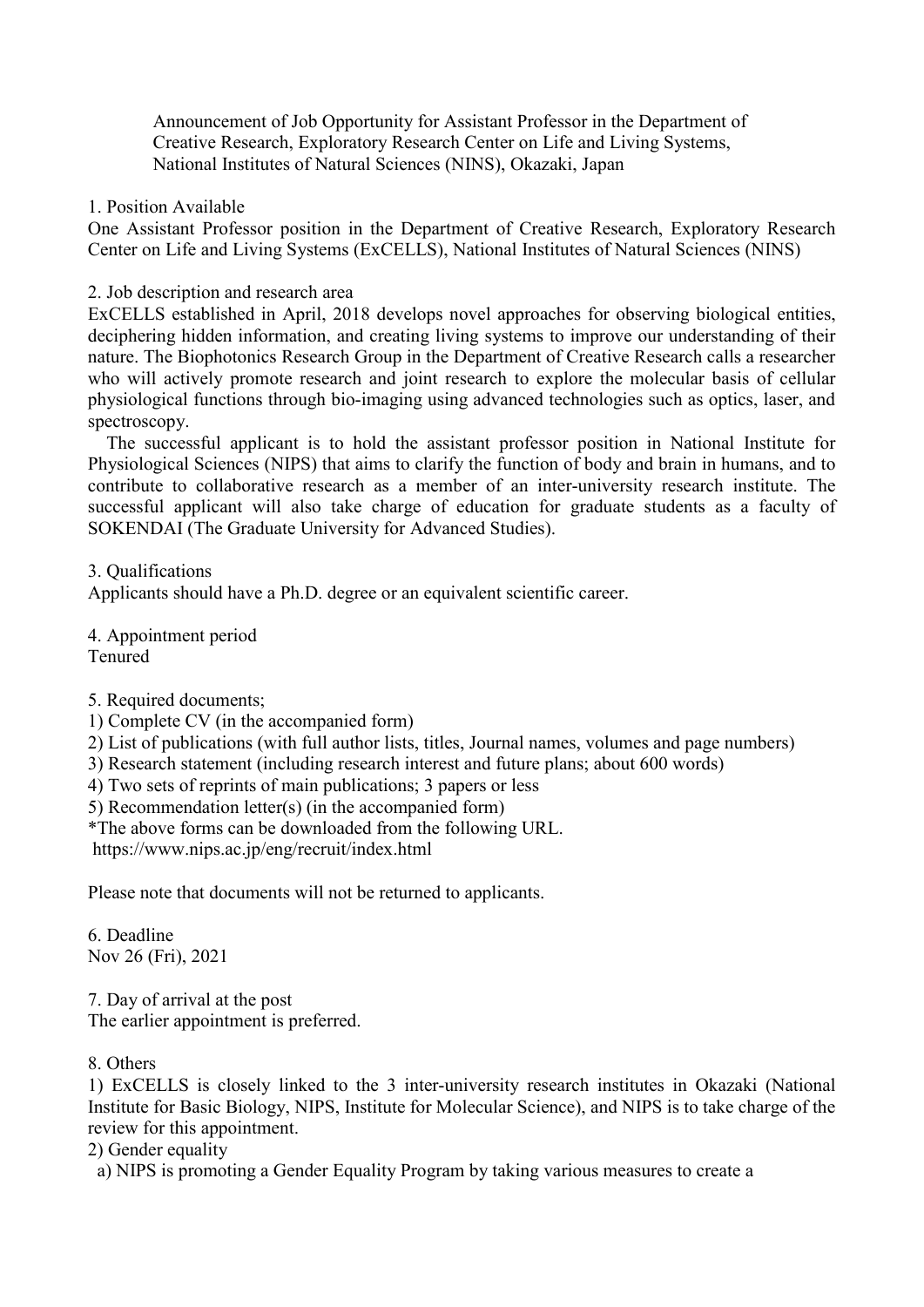Announcement of Job Opportunity for Assistant Professor in the Department of Creative Research, Exploratory Research Center on Life and Living Systems, National Institutes of Natural Sciences (NINS), Okazaki, Japan

## 1. Position Available

One Assistant Professor position in the Department of Creative Research, Exploratory Research Center on Life and Living Systems (ExCELLS), National Institutes of Natural Sciences (NINS)

## 2. Job description and research area

ExCELLS established in April, 2018 develops novel approaches for observing biological entities, deciphering hidden information, and creating living systems to improve our understanding of their nature. The Biophotonics Research Group in the Department of Creative Research calls a researcher who will actively promote research and joint research to explore the molecular basis of cellular physiological functions through bio-imaging using advanced technologies such as optics, laser, and spectroscopy.

The successful applicant is to hold the assistant professor position in National Institute for Physiological Sciences (NIPS) that aims to clarify the function of body and brain in humans, and to contribute to collaborative research as a member of an inter-university research institute. The successful applicant will also take charge of education for graduate students as a faculty of SOKENDAI (The Graduate University for Advanced Studies).

3. Qualifications

Applicants should have a Ph.D. degree or an equivalent scientific career.

4. Appointment period Tenured

5. Required documents;

1) Complete CV (in the accompanied form)

2) List of publications (with full author lists, titles, Journal names, volumes and page numbers)

3) Research statement (including research interest and future plans; about 600 words)

4) Two sets of reprints of main publications; 3 papers or less

5) Recommendation letter(s) (in the accompanied form)

\*The above forms can be downloaded from the following URL.

https://www.nips.ac.jp/eng/recruit/index.html

Please note that documents will not be returned to applicants.

6. Deadline Nov 26 (Fri), 2021

7. Day of arrival at the post The earlier appointment is preferred.

## 8. Others

1) ExCELLS is closely linked to the 3 inter-university research institutes in Okazaki (National Institute for Basic Biology, NIPS, Institute for Molecular Science), and NIPS is to take charge of the review for this appointment.

2) Gender equality

a) NIPS is promoting a Gender Equality Program by taking various measures to create a